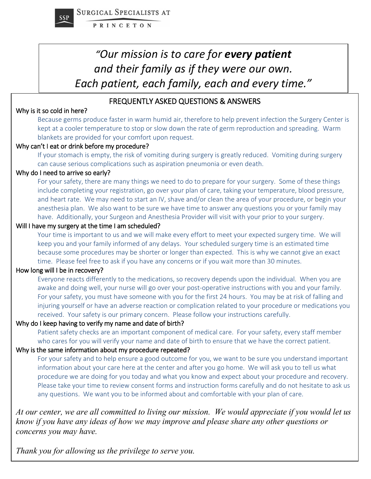

# "Our mission is to care for **every patient** *and their family as if they were our own. Each patient, each family, each and every time."*

#### FREQUENTLY ASKED QUESTIONS & ANSWERS

#### Why is it so cold in here?

Because germs produce faster in warm humid air, therefore to help prevent infection the Surgery Center is kept at a cooler temperature to stop or slow down the rate of germ reproduction and spreading. Warm blankets are provided for your comfort upon request.

#### Why can't I eat or drink before my procedure?

If your stomach is empty, the risk of vomiting during surgery is greatly reduced. Vomiting during surgery can cause serious complications such as aspiration pneumonia or even death.

#### Why do I need to arrive so early?

For your safety, there are many things we need to do to prepare for your surgery. Some of these things include completing your registration, go over your plan of care, taking your temperature, blood pressure, and heart rate. We may need to start an IV, shave and/or clean the area of your procedure, or begin your anesthesia plan. We also want to be sure we have time to answer any questions you or your family may have. Additionally, your Surgeon and Anesthesia Provider will visit with your prior to your surgery.

#### Will I have my surgery at the time I am scheduled?

Your time is important to us and we will make every effort to meet your expected surgery time. We will keep you and your family informed of any delays. Your scheduled surgery time is an estimated time because some procedures may be shorter or longer than expected. This is why we cannot give an exact time. Please feel free to ask if you have any concerns or if you wait more than 30 minutes.

#### How long will I be in recovery?

Everyone reacts differently to the medications, so recovery depends upon the individual. When you are awake and doing well, your nurse will go over your post-operative instructions with you and your family. For your safety, you must have someone with you for the first 24 hours. You may be at risk of falling and injuring yourself or have an adverse reaction or complication related to your procedure or medications you received. Your safety is our primary concern. Please follow your instructions carefully.

#### Why do I keep having to verify my name and date of birth?

Patient safety checks are an important component of medical care. For your safety, every staff member who cares for you will verify your name and date of birth to ensure that we have the correct patient.

#### Why is the same information about my procedure repeated?

For your safety and to help ensure a good outcome for you, we want to be sure you understand important information about your care here at the center and after you go home. We will ask you to tell us what procedure we are doing for you today and what you know and expect about your procedure and recovery. Please take your time to review consent forms and instruction forms carefully and do not hesitate to ask us any questions. We want you to be informed about and comfortable with your plan of care.

*At our center, we are all committed to living our mission. We would appreciate if you would let us know if you have any ideas of how we may improve and please share any other questions or concerns you may have.* 

*Thank you for allowing us the privilege to serve you.*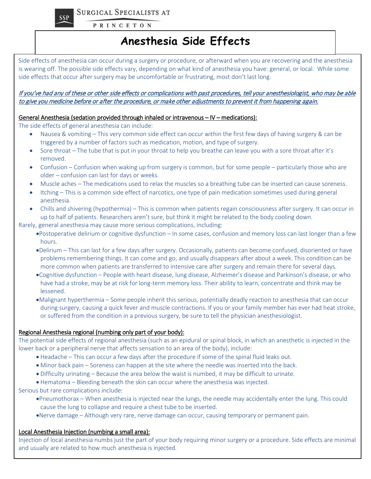SURGICAL SPECIALISTS AT



**PRINCETON** 

### **Anesthesia Side Effects**

Side effects of anesthesia can occur during a surgery or procedure, or afterward when you are recovering and the anesthesia is wearing off. The possible side effects vary, depending on what kind of anesthesia you have: general, or local. While some side effects that occur after surgery may be uncomfortable or frustrating, most don't last long.

#### If you've had any of these or other side effects or complications with past procedures, tell your anesthesiologist, who may be able to give you medicine before or after the procedure, or make other adjustments to prevent it from happening again.

#### General Anesthesia (sedation provided through inhaled or intravenous – IV – medications):

The side effects of general anesthesia can include:

- Nausea & vomiting This very common side effect can occur within the first few days of having surgery & can be triggered by a number of factors such as medication, motion, and type of surgery.
- Sore throat The tube that is put in your throat to help you breathe can leave you with a sore throat after it's removed.
- Confusion Confusion when waking up from surgery is common, but for some people particularly those who are older – confusion can last for days or weeks.
- Muscle aches The medications used to relax the muscles so a breathing tube can be inserted can cause soreness.
- Itching This is a common side effect of narcotics, one type of pain medication sometimes used during general anesthesia.
- Chills and shivering (hypothermia) This is common when patients regain consciousness after surgery. It can occur in up to half of patients. Researchers aren't sure, but think it might be related to the body cooling down.

Rarely, general anesthesia may cause more serious complications, including:

- •Postoperative delirium or cognitive dysfunction In some cases, confusion and memory loss can last longer than a few hours.
- •Delirium This can last for a few days after surgery. Occasionally, patients can become confused, disoriented or have problems remembering things. It can come and go, and usually disappears after about a week. This condition can be more common when patients are transferred to intensive care after surgery and remain there for several days.
- •Cognitive dysfunction People with heart disease, lung disease, Alzheimer's disease and Parkinson's disease, or who have had a stroke, may be at risk for long-term memory loss. Their ability to learn, concentrate and think may be lessened.
- •Malignant hyperthermia Some people inherit this serious, potentially deadly reaction to anesthesia that can occur during surgery, causing a quick fever and muscle contractions. If you or your family member has ever had heat stroke, or suffered from the condition in a previous surgery, be sure to tell the physician anesthesiologist.

#### Regional Anesthesia regional (numbing only part of your body):

The potential side effects of regional anesthesia (such as an epidural or spinal block, in which an anesthetic is injected in the lower back or a peripheral nerve that affects sensation to an area of the body), include:

- Headache This can occur a few days after the procedure if some of the spinal fluid leaks out.
- Minor back pain Soreness can happen at the site where the needle was inserted into the back.
- Difficulty urinating Because the area below the waist is numbed, it may be difficult to urinate.
- Hematoma Bleeding beneath the skin can occur where the anesthesia was injected.

Serious but rare complications include:

- •Pneumothorax When anesthesia is injected near the lungs, the needle may accidentally enter the lung. This could cause the lung to collapse and require a chest tube to be inserted.
- •Nerve damage Although very rare, nerve damage can occur, causing temporary or permanent pain.

#### Local Anesthesia Injection (numbing a small area):

Injection of local anesthesia numbs just the part of your body requiring minor surgery or a procedure. Side effects are minimal and usually are related to how much anesthesia is injected.